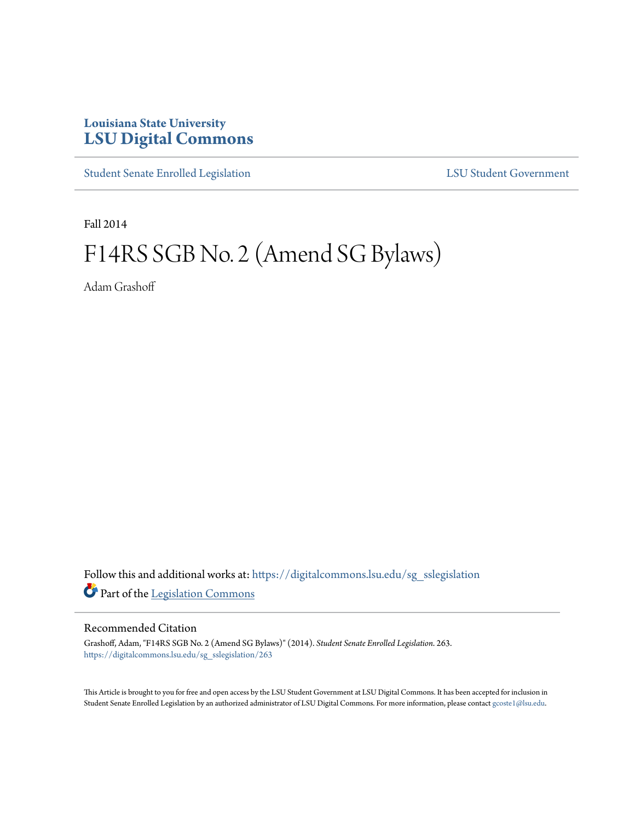## **Louisiana State University [LSU Digital Commons](https://digitalcommons.lsu.edu?utm_source=digitalcommons.lsu.edu%2Fsg_sslegislation%2F263&utm_medium=PDF&utm_campaign=PDFCoverPages)**

[Student Senate Enrolled Legislation](https://digitalcommons.lsu.edu/sg_sslegislation?utm_source=digitalcommons.lsu.edu%2Fsg_sslegislation%2F263&utm_medium=PDF&utm_campaign=PDFCoverPages) [LSU Student Government](https://digitalcommons.lsu.edu/sg?utm_source=digitalcommons.lsu.edu%2Fsg_sslegislation%2F263&utm_medium=PDF&utm_campaign=PDFCoverPages)

Fall 2014

## F14RS SGB No. 2 (Amend SG Bylaws)

Adam Grashoff

Follow this and additional works at: [https://digitalcommons.lsu.edu/sg\\_sslegislation](https://digitalcommons.lsu.edu/sg_sslegislation?utm_source=digitalcommons.lsu.edu%2Fsg_sslegislation%2F263&utm_medium=PDF&utm_campaign=PDFCoverPages) Part of the [Legislation Commons](http://network.bepress.com/hgg/discipline/859?utm_source=digitalcommons.lsu.edu%2Fsg_sslegislation%2F263&utm_medium=PDF&utm_campaign=PDFCoverPages)

## Recommended Citation

Grashoff, Adam, "F14RS SGB No. 2 (Amend SG Bylaws)" (2014). *Student Senate Enrolled Legislation*. 263. [https://digitalcommons.lsu.edu/sg\\_sslegislation/263](https://digitalcommons.lsu.edu/sg_sslegislation/263?utm_source=digitalcommons.lsu.edu%2Fsg_sslegislation%2F263&utm_medium=PDF&utm_campaign=PDFCoverPages)

This Article is brought to you for free and open access by the LSU Student Government at LSU Digital Commons. It has been accepted for inclusion in Student Senate Enrolled Legislation by an authorized administrator of LSU Digital Commons. For more information, please contact [gcoste1@lsu.edu.](mailto:gcoste1@lsu.edu)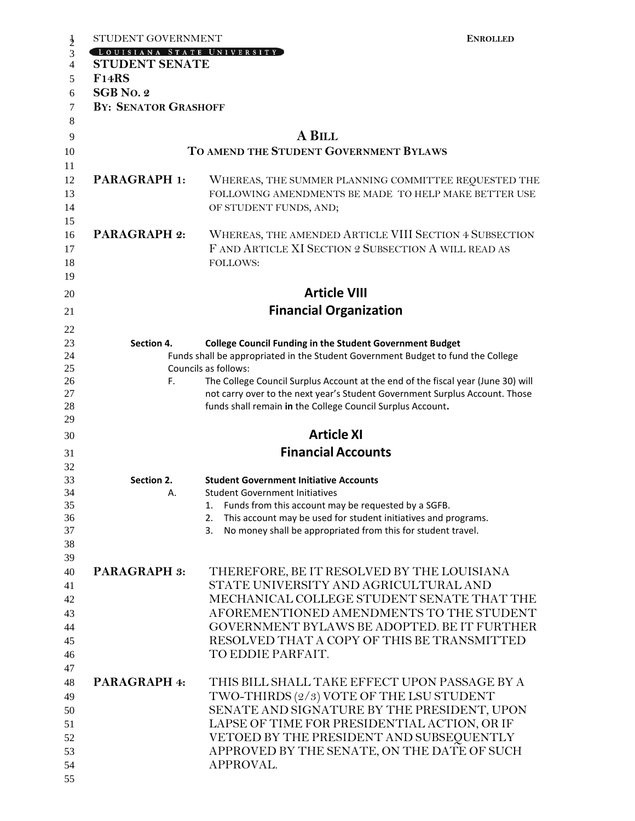| STUDENT GOVERNMENT          | <b>ENROLLED</b>                                                                                                |
|-----------------------------|----------------------------------------------------------------------------------------------------------------|
| LOUISIANA STATE UNIVERSITY  |                                                                                                                |
| <b>STUDENT SENATE</b>       |                                                                                                                |
| <b>F14RS</b>                |                                                                                                                |
| SGB No. 2                   |                                                                                                                |
| <b>BY: SENATOR GRASHOFF</b> |                                                                                                                |
|                             |                                                                                                                |
|                             | <b>A BILL</b>                                                                                                  |
|                             | TO AMEND THE STUDENT GOVERNMENT BYLAWS                                                                         |
|                             |                                                                                                                |
| <b>PARAGRAPH 1:</b>         | WHEREAS, THE SUMMER PLANNING COMMITTEE REQUESTED THE                                                           |
|                             | FOLLOWING AMENDMENTS BE MADE TO HELP MAKE BETTER USE                                                           |
|                             | OF STUDENT FUNDS, AND;                                                                                         |
| <b>PARAGRAPH 2:</b>         |                                                                                                                |
|                             | WHEREAS, THE AMENDED ARTICLE VIII SECTION 4 SUBSECTION<br>F AND ARTICLE XI SECTION 2 SUBSECTION A WILL READ AS |
|                             | <b>FOLLOWS:</b>                                                                                                |
|                             |                                                                                                                |
|                             | <b>Article VIII</b>                                                                                            |
|                             |                                                                                                                |
|                             | <b>Financial Organization</b>                                                                                  |
|                             |                                                                                                                |
| Section 4.                  | <b>College Council Funding in the Student Government Budget</b>                                                |
|                             | Funds shall be appropriated in the Student Government Budget to fund the College<br>Councils as follows:       |
| F.                          | The College Council Surplus Account at the end of the fiscal year (June 30) will                               |
|                             | not carry over to the next year's Student Government Surplus Account. Those                                    |
|                             | funds shall remain in the College Council Surplus Account.                                                     |
|                             |                                                                                                                |
|                             | <b>Article XI</b>                                                                                              |
|                             | <b>Financial Accounts</b>                                                                                      |
|                             |                                                                                                                |
| Section 2.                  | <b>Student Government Initiative Accounts</b>                                                                  |
| А.                          | <b>Student Government Initiatives</b><br>Funds from this account may be requested by a SGFB.<br>1.             |
|                             | This account may be used for student initiatives and programs.<br>2.                                           |
|                             | No money shall be appropriated from this for student travel.<br>3.                                             |
|                             |                                                                                                                |
|                             |                                                                                                                |
| <b>PARAGRAPH 3:</b>         | THEREFORE, BE IT RESOLVED BY THE LOUISIANA                                                                     |
|                             | STATE UNIVERSITY AND AGRICULTURAL AND                                                                          |
|                             | MECHANICAL COLLEGE STUDENT SENATE THAT THE                                                                     |
|                             | AFOREMENTIONED AMENDMENTS TO THE STUDENT                                                                       |
|                             | GOVERNMENT BYLAWS BE ADOPTED. BE IT FURTHER                                                                    |
|                             | RESOLVED THAT A COPY OF THIS BE TRANSMITTED                                                                    |
|                             | TO EDDIE PARFAIT.                                                                                              |
| <b>PARAGRAPH 4:</b>         | THIS BILL SHALL TAKE EFFECT UPON PASSAGE BY A                                                                  |
|                             | TWO-THIRDS (2/3) VOTE OF THE LSU STUDENT                                                                       |
|                             | SENATE AND SIGNATURE BY THE PRESIDENT, UPON                                                                    |
|                             | LAPSE OF TIME FOR PRESIDENTIAL ACTION, OR IF                                                                   |
|                             | VETOED BY THE PRESIDENT AND SUBSEQUENTLY                                                                       |
|                             | APPROVED BY THE SENATE, ON THE DATE OF SUCH                                                                    |
|                             | APPROVAL.                                                                                                      |
|                             |                                                                                                                |
|                             |                                                                                                                |